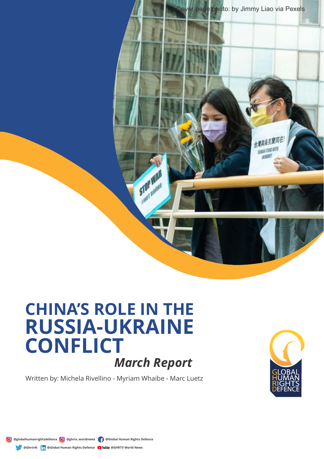

## **CHINA'S ROLE IN THE RUSSIA-UKRAINE CONFLICT** *March Report*

Written by: Michela Rivellino - Myriam Whaibe - Marc Luetz



**@globalhumanrightsdefence @ghrtv\_worldnews @Global Human Rights Defence** ⋒ **@GhrtvN in** @Global Human Rights Defence **D** YouTube @GHRTV World News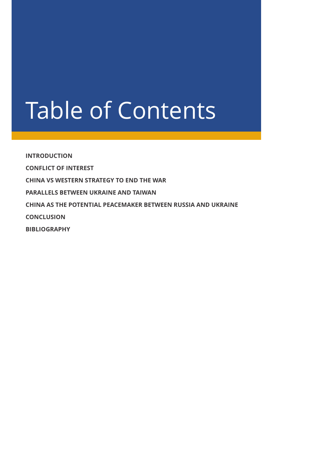# Table of Contents

**INTRODUCTION CONFLICT OF INTEREST CHINA VS WESTERN STRATEGY TO END THE WAR PARALLELS BETWEEN UKRAINE AND TAIWAN CHINA AS THE POTENTIAL PEACEMAKER BETWEEN RUSSIA AND UKRAINE CONCLUSION BIBLIOGRAPHY**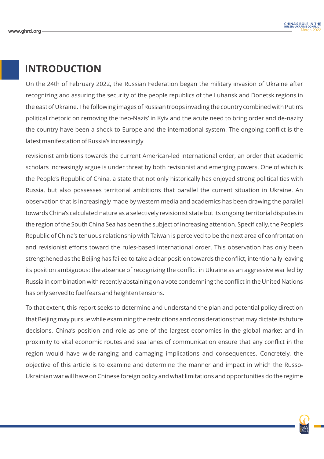#### **INTRODUCTION**

On the 24th of February 2022, the Russian Federation began the military invasion of Ukraine after recognizing and assuring the security of the people republics of the Luhansk and Donetsk regions in the east of Ukraine. The following images of Russian troops invading the country combined with Putin's political rhetoric on removing the 'neo-Nazis' in Kyiv and the acute need to bring order and de-nazify the country have been a shock to Europe and the international system. The ongoing conflict is the latest manifestation of Russia's increasingly

revisionist ambitions towards the current American-led international order, an order that academic scholars increasingly argue is under threat by both revisionist and emerging powers. One of which is the People's Republic of China, a state that not only historically has enjoyed strong political ties with Russia, but also possesses territorial ambitions that parallel the current situation in Ukraine. An observation that is increasingly made by western media and academics has been drawing the parallel towards China's calculated nature as a selectively revisionist state but its ongoing territorial disputes in the region of the South China Sea has been the subject of increasing attention. Specifically, the People's Republic of China's tenuous relationship with Taiwan is perceived to be the next area of confrontation and revisionist efforts toward the rules-based international order. This observation has only been strengthened as the Beijing has failed to take a clear position towards the conflict, intentionally leaving its position ambiguous: the absence of recognizing the conflict in Ukraine as an aggressive war led by Russia in combination with recently abstaining on a vote condemning the conflict in the United Nations has only served to fuel fears and heighten tensions.

To that extent, this report seeks to determine and understand the plan and potential policy direction that Beijing may pursue while examining the restrictions and considerations that may dictate its future decisions. China's position and role as one of the largest economies in the global market and in proximity to vital economic routes and sea lanes of communication ensure that any conflict in the region would have wide-ranging and damaging implications and consequences. Concretely, the objective of this article is to examine and determine the manner and impact in which the Russo-Ukrainian war will have on Chinese foreign policy and what limitations and opportunities do the regime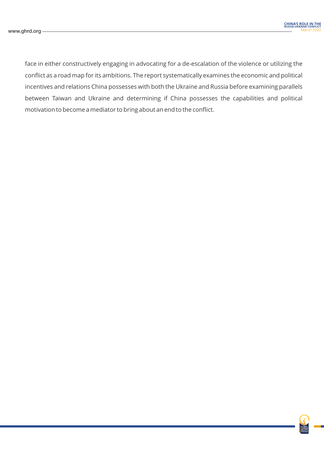face in either constructively engaging in advocating for a de-escalation of the violence or utilizing the conflict as a road map for its ambitions. The report systematically examines the economic and political incentives and relations China possesses with both the Ukraine and Russia before examining parallels between Taiwan and Ukraine and determining if China possesses the capabilities and political motivation to become a mediator to bring about an end to the conflict.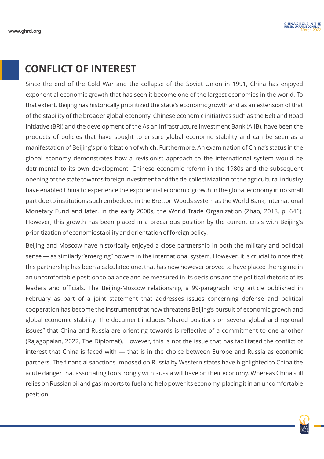#### **CONFLICT OF INTEREST**

Since the end of the Cold War and the collapse of the Soviet Union in 1991, China has enjoyed exponential economic growth that has seen it become one of the largest economies in the world. To that extent, Beijing has historically prioritized the state's economic growth and as an extension of that of the stability of the broader global economy. Chinese economic initiatives such as the Belt and Road Initiative (BRI) and the development of the Asian Infrastructure Investment Bank (AIIB), have been the products of policies that have sought to ensure global economic stability and can be seen as a manifestation of Beijing's prioritization of which. Furthermore, An examination of China's status in the global economy demonstrates how a revisionist approach to the international system would be detrimental to its own development. Chinese economic reform in the 1980s and the subsequent opening of the state towards foreign investment and the de-collectivization of the agricultural industry have enabled China to experience the exponential economic growth in the global economy in no small part due to institutions such embedded in the Bretton Woods system as the World Bank, International Monetary Fund and later, in the early 2000s, the World Trade Organization (Zhao, 2018, p. 646). However, this growth has been placed in a precarious position by the current crisis with Beijing's prioritization of economic stability and orientation of foreign policy.

Beijing and Moscow have historically enjoyed a close partnership in both the military and political sense — as similarly "emerging" powers in the international system. However, it is crucial to note that this partnership has been a calculated one, that has now however proved to have placed the regime in an uncomfortable position to balance and be measured in its decisions and the political rhetoric of its leaders and officials. The Beijing-Moscow relationship, a 99-paragraph long article published in February as part of a joint statement that addresses issues concerning defense and political cooperation has become the instrument that now threatens Beijing's pursuit of economic growth and global economic stability. The document includes "shared positions on several global and regional issues" that China and Russia are orienting towards is reflective of a commitment to one another (Rajagopalan, 2022, The Diplomat). However, this is not the issue that has facilitated the conflict of interest that China is faced with — that is in the choice between Europe and Russia as economic partners. The financial sanctions imposed on Russia by Western states have highlighted to China the acute danger that associating too strongly with Russia will have on their economy. Whereas China still relies on Russian oil and gas imports to fuel and help power its economy, placing it in an uncomfortable position.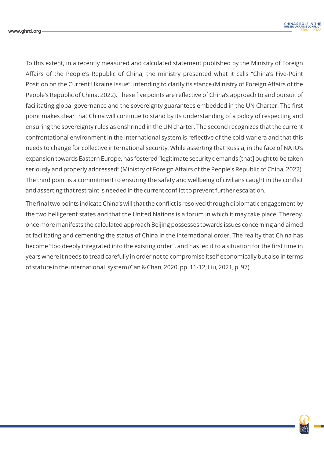To this extent, in a recently measured and calculated statement published by the Ministry of Foreign Affairs of the People's Republic of China, the ministry presented what it calls "China's Five-Point Position on the Current Ukraine Issue", intending to clarify its stance (Ministry of Foreign Affairs of the People's Republic of China, 2022). These five points are reflective of China's approach to and pursuit of facilitating global governance and the sovereignty guarantees embedded in the UN Charter. The first point makes clear that China will continue to stand by its understanding of a policy of respecting and ensuring the sovereignty rules as enshrined in the UN charter. The second recognizes that the current confrontational environment in the international system is reflective of the cold-war era and that this needs to change for collective international security. While asserting that Russia, in the face of NATO's expansion towards Eastern Europe, has fostered "legitimate security demands [that] ought to be taken seriously and properly addressed" (Ministry of Foreign Affairs of the People's Republic of China, 2022). The third point is a commitment to ensuring the safety and wellbeing of civilians caught in the conflict and asserting that restraint is needed in the current conflict to prevent further escalation.

The final two points indicate China's will that the conflict is resolved through diplomatic engagement by the two belligerent states and that the United Nations is a forum in which it may take place. Thereby, once more manifests the calculated approach Beijing possesses towards issues concerning and aimed at facilitating and cementing the status of China in the international order. The reality that China has become "too deeply integrated into the existing order", and has led it to a situation for the first time in years where it needs to tread carefully in order not to compromise itself economically but also in terms of stature in the international system (Can & Chan, 2020, pp. 11-12; Liu, 2021, p. 97)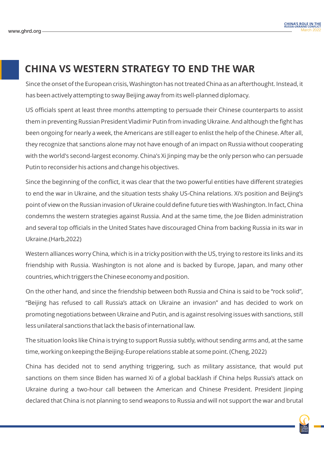### **CHINA VS WESTERN STRATEGY TO END THE WAR**

Since the onset of the European crisis, Washington has not treated China as an afterthought. Instead, it has been actively attempting to sway Beijing away from its well-planned diplomacy.

US officials spent at least three months attempting to persuade their Chinese counterparts to assist them in preventing Russian President Vladimir Putin from invading Ukraine. And although the fight has been ongoing for nearly a week, the Americans are still eager to enlist the help of the Chinese. After all, they recognize that sanctions alone may not have enough of an impact on Russia without cooperating with the world's second-largest economy. China's Xi Jinping may be the only person who can persuade Putin to reconsider his actions and change his objectives.

Since the beginning of the conflict, it was clear that the two powerful entities have different strategies to end the war in Ukraine, and the situation tests shaky US-China relations. Xi's position and Beijing's point of view on the Russian invasion of Ukraine could define future ties with Washington. In fact, China condemns the western strategies against Russia. And at the same time, the Joe Biden administration and several top officials in the United States have discouraged China from backing Russia in its war in Ukraine.(Harb,2022)

Western alliances worry China, which is in a tricky position with the US, trying to restore its links and its friendship with Russia. Washington is not alone and is backed by Europe, Japan, and many other countries, which triggers the Chinese economy and position.

On the other hand, and since the friendship between both Russia and China is said to be "rock solid", "Beijing has refused to call Russia's attack on Ukraine an invasion" and has decided to work on promoting negotiations between Ukraine and Putin, and is against resolving issues with sanctions, still less unilateral sanctions that lack the basis of international law.

The situation looks like China is trying to support Russia subtly, without sending arms and, at the same time, working on keeping the Beijing-Europe relations stable at some point. (Cheng, 2022)

China has decided not to send anything triggering, such as military assistance, that would put sanctions on them since Biden has warned Xi of a global backlash if China helps Russia's attack on Ukraine during a two-hour call between the American and Chinese President. President Jinping declared that China is not planning to send weapons to Russia and will not support the war and brutal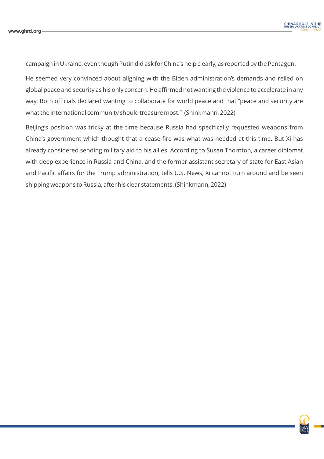campaign in Ukraine, even though Putin did ask for China's help clearly, as reported by the Pentagon.

He seemed very convinced about aligning with the Biden administration's demands and relied on global peace and security as his only concern. He affirmed not wanting the violence to accelerate in any way. Both officials declared wanting to collaborate for world peace and that "peace and security are what the international community should treasure most." (Shinkmann, 2022)

Beijing's position was tricky at the time because Russia had specifically requested weapons from China's government which thought that a cease-fire was what was needed at this time. But Xi has already considered sending military aid to his allies. According to Susan Thornton, a career diplomat with deep experience in Russia and China, and the former assistant secretary of state for East Asian and Pacific affairs for the Trump administration, tells U.S. News, Xi cannot turn around and be seen shipping weapons to Russia, after his clear statements. (Shinkmann, 2022)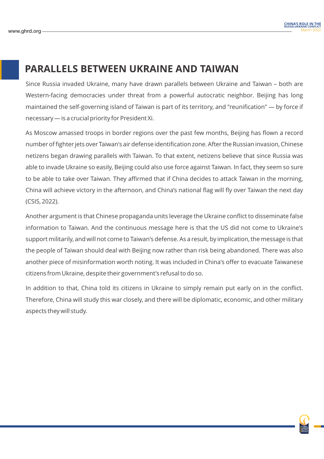#### **PARALLELS BETWEEN UKRAINE AND TAIWAN**

Since Russia invaded Ukraine, many have drawn parallels between Ukraine and Taiwan – both are Western-facing democracies under threat from a powerful autocratic neighbor. Beijing has long maintained the self-governing island of Taiwan is part of its territory, and "reunification" — by force if necessary — is a crucial priority for President Xi.

As Moscow amassed troops in border regions over the past few months, Beijing has flown a record number of fighter jets over Taiwan's air defense identification zone. After the Russian invasion, Chinese netizens began drawing parallels with Taiwan. To that extent, netizens believe that since Russia was able to invade Ukraine so easily, Beijing could also use force against Taiwan. In fact, they seem so sure to be able to take over Taiwan. They affirmed that if China decides to attack Taiwan in the morning, China will achieve victory in the afternoon, and China's national flag will fly over Taiwan the next day (CSIS, 2022).

Another argument is that Chinese propaganda units leverage the Ukraine conflict to disseminate false information to Taiwan. And the continuous message here is that the US did not come to Ukraine's support militarily, and will not come to Taiwan's defense. As a result, by implication, the message is that the people of Taiwan should deal with Beijing now rather than risk being abandoned. There was also another piece of misinformation worth noting. It was included in China's offer to evacuate Taiwanese citizens from Ukraine, despite their government's refusal to do so.

In addition to that, China told its citizens in Ukraine to simply remain put early on in the conflict. Therefore, China will study this war closely, and there will be diplomatic, economic, and other military aspects they will study.

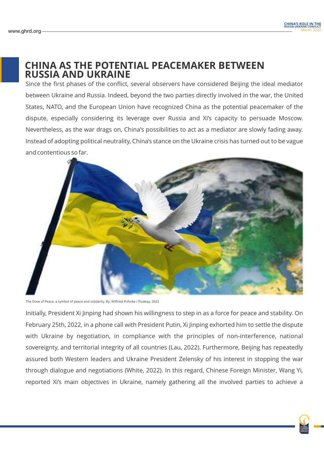#### **CHINA AS THE POTENTIAL PEACEMAKER BETWEEN RUSSIA AND UKRAINE**

Since the first phases of the conflict, several observers have considered Beijing the ideal mediator between Ukraine and Russia. Indeed, beyond the two parties directly involved in the war, the United States, NATO, and the European Union have recognized China as the potential peacemaker of the dispute, especially considering its leverage over Russia and Xi's capacity to persuade Moscow. Nevertheless, as the war drags on, China's possibilities to act as a mediator are slowly fading away. Instead of adopting political neutrality, China's stance on the Ukraine crisis has turned out to be vague and contentious so far.



The Dove of Peace, a symbol of peace and solidarity. By: Wilfried Pohnke / Pixabay, 2022

Initially, President Xi Jinping had shown his willingness to step in as a force for peace and stability. On February 25th, 2022, in a phone call with President Putin, Xi Jinping exhorted him to settle the dispute with Ukraine by negotiation, in compliance with the principles of non-interference, national sovereignty, and territorial integrity of all countries (Lau, 2022). Furthermore, Beijing has repeatedly assured both Western leaders and Ukraine President Zelensky of his interest in stopping the war through dialogue and negotiations (White, 2022). In this regard, Chinese Foreign Minister, Wang Yi, reported Xi's main objectives in Ukraine, namely gathering all the involved parties to achieve a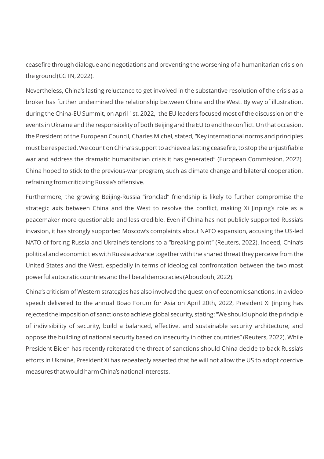ceasefire through dialogue and negotiations and preventing the worsening of a humanitarian crisis on the ground (CGTN, 2022).

Nevertheless, China's lasting reluctance to get involved in the substantive resolution of the crisis as a broker has further undermined the relationship between China and the West. By way of illustration, during the China-EU Summit, on April 1st, 2022, the EU leaders focused most of the discussion on the events in Ukraine and the responsibility of both Beijing and the EU to end the conflict. On that occasion, the President of the European Council, Charles Michel, stated, "Key international norms and principles must be respected. We count on China's support to achieve a lasting ceasefire, to stop the unjustifiable war and address the dramatic humanitarian crisis it has generated" (European Commission, 2022). China hoped to stick to the previous-war program, such as climate change and bilateral cooperation, refraining from criticizing Russia's offensive.

Furthermore, the growing Beijing-Russia "ironclad" friendship is likely to further compromise the strategic axis between China and the West to resolve the conflict, making Xi Jinping's role as a peacemaker more questionable and less credible. Even if China has not publicly supported Russia's invasion, it has strongly supported Moscow's complaints about NATO expansion, accusing the US-led NATO of forcing Russia and Ukraine's tensions to a "breaking point" (Reuters, 2022). Indeed, China's political and economic ties with Russia advance together with the shared threat they perceive from the United States and the West, especially in terms of ideological confrontation between the two most powerful autocratic countries and the liberal democracies (Aboudouh, 2022).

China's criticism of Western strategies has also involved the question of economic sanctions. In a video speech delivered to the annual Boao Forum for Asia on April 20th, 2022, President Xi Jinping has rejected the imposition of sanctions to achieve global security, stating: "We should uphold the principle of indivisibility of security, build a balanced, effective, and sustainable security architecture, and oppose the building of national security based on insecurity in other countries" (Reuters, 2022). While President Biden has recently reiterated the threat of sanctions should China decide to back Russia's efforts in Ukraine, President Xi has repeatedly asserted that he will not allow the US to adopt coercive measures that would harm China's national interests.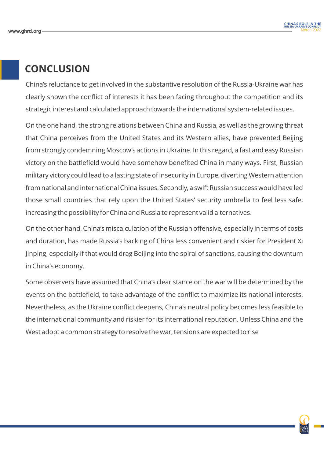### **CONCLUSION**

China's reluctance to get involved in the substantive resolution of the Russia-Ukraine war has clearly shown the conflict of interests it has been facing throughout the competition and its strategic interest and calculated approach towards the international system-related issues.

On the one hand, the strong relations between China and Russia, as well as the growing threat that China perceives from the United States and its Western allies, have prevented Beijing from strongly condemning Moscow's actions in Ukraine. In this regard, a fast and easy Russian victory on the battlefield would have somehow benefited China in many ways. First, Russian military victory could lead to a lasting state of insecurity in Europe, diverting Western attention from national and international China issues. Secondly, a swift Russian success would have led those small countries that rely upon the United States' security umbrella to feel less safe, increasing the possibility for China and Russia to represent valid alternatives.

On the other hand, China's miscalculation of the Russian offensive, especially in terms of costs and duration, has made Russia's backing of China less convenient and riskier for President Xi Jinping, especially if that would drag Beijing into the spiral of sanctions, causing the downturn in China's economy.

Some observers have assumed that China's clear stance on the war will be determined by the events on the battlefield, to take advantage of the conflict to maximize its national interests. Nevertheless, as the Ukraine conflict deepens, China's neutral policy becomes less feasible to the international community and riskier for its international reputation. Unless China and the West adopt a common strategy to resolve the war, tensions are expected to rise

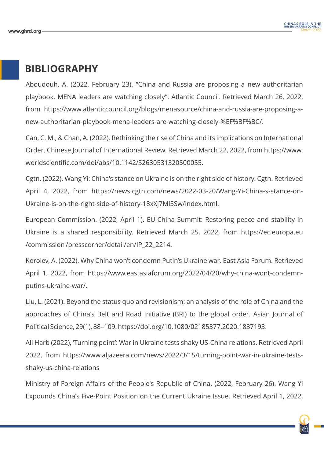#### **BIBLIOGRAPHY**

Aboudouh, A. (2022, February 23). "China and Russia are proposing a new authoritarian playbook. MENA leaders are watching closely". Atlantic Council. Retrieved March 26, 2022, from https://www.atlanticcouncil.org/blogs/menasource/china-and-russia-are-proposing-anew-authoritarian-playbook-mena-leaders-are-watching-closely-%EF%BF%BC/.

Can, C. M., & Chan, A. (2022). Rethinking the rise of China and its implications on International Order. Chinese Journal of International Review. Retrieved March 22, 2022, from https://www. worldscientific.com/doi/abs/10.1142/S2630531320500055.

Cgtn. (2022). Wang Yi: China's stance on Ukraine is on the right side of history. Cgtn. Retrieved April 4, 2022, from https://news.cgtn.com/news/2022-03-20/Wang-Yi-China-s-stance-on-Ukraine-is-on-the-right-side-of-history-18xXj7Ml5Sw/index.html.

European Commission. (2022, April 1). EU-China Summit: Restoring peace and stability in Ukraine is a shared responsibility. Retrieved March 25, 2022, from https://ec.europa.eu /commission /presscorner/detail/en/IP\_22\_2214.

Korolev, A. (2022). Why China won't condemn Putin's Ukraine war. East Asia Forum. Retrieved April 1, 2022, from https://www.eastasiaforum.org/2022/04/20/why-china-wont-condemnputins-ukraine-war/.

Liu, L. (2021). Beyond the status quo and revisionism: an analysis of the role of China and the approaches of China's Belt and Road Initiative (BRI) to the global order. Asian Journal of Political Science, 29(1), 88–109. https://doi.org/10.1080/02185377.2020.1837193.

Ali Harb (2022), 'Turning point': War in Ukraine tests shaky US-China relations. Retrieved April 2022, from https://www.aljazeera.com/news/2022/3/15/turning-point-war-in-ukraine-testsshaky-us-china-relations

Ministry of Foreign Affairs of the People's Republic of China. (2022, February 26). Wang Yi Expounds China's Five-Point Position on the Current Ukraine Issue. Retrieved April 1, 2022,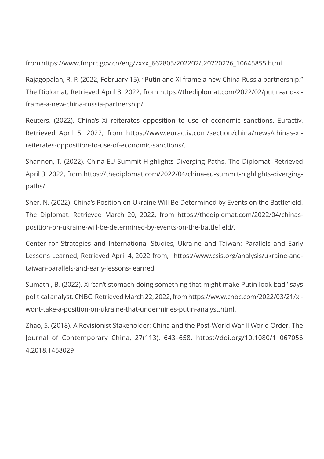from https://www.fmprc.gov.cn/eng/zxxx\_662805/202202/t20220226\_10645855.html

Rajagopalan, R. P. (2022, February 15). "Putin and XI frame a new China-Russia partnership." The Diplomat. Retrieved April 3, 2022, from https://thediplomat.com/2022/02/putin-and-xiframe-a-new-china-russia-partnership/.

Reuters. (2022). China's Xi reiterates opposition to use of economic sanctions. Euractiv. Retrieved April 5, 2022, from https://www.euractiv.com/section/china/news/chinas-xireiterates-opposition-to-use-of-economic-sanctions/.

Shannon, T. (2022). China-EU Summit Highlights Diverging Paths. The Diplomat. Retrieved April 3, 2022, from https://thediplomat.com/2022/04/china-eu-summit-highlights-divergingpaths/.

Sher, N. (2022). China's Position on Ukraine Will Be Determined by Events on the Battlefield. The Diplomat. Retrieved March 20, 2022, from https://thediplomat.com/2022/04/chinasposition-on-ukraine-will-be-determined-by-events-on-the-battlefield/.

Center for Strategies and International Studies, Ukraine and Taiwan: Parallels and Early Lessons Learned, Retrieved April 4, 2022 from, https://www.csis.org/analysis/ukraine-andtaiwan-parallels-and-early-lessons-learned

Sumathi, B. (2022). Xi 'can't stomach doing something that might make Putin look bad,' says political analyst. CNBC. Retrieved March 22, 2022, from https://www.cnbc.com/2022/03/21/xiwont-take-a-position-on-ukraine-that-undermines-putin-analyst.html.

Zhao, S. (2018). A Revisionist Stakeholder: China and the Post-World War II World Order. The Journal of Contemporary China, 27(113), 643–658. https://doi.org/10.1080/1 067056 4.2018.1458029